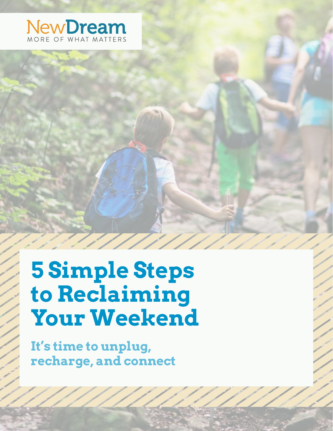

**5 Simple Steps to Reclaiming Your Weekend**

**It's time to unplug, recharge, and connect**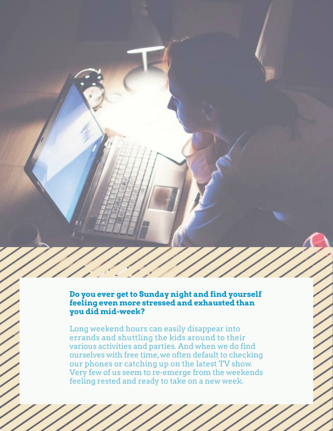### **Do you ever get to Sunday night and find yourself feeling even more stressed and exhausted than you did mid-week?**

Long weekend hours can easily disappear into errands and shuttling the kids around to their various activities and parties. And when we do find ourselves with free time, we often default to checking our phones or catching up on the latest TV show. Very few of us seem to re-emerge from the weekends feeling rested and ready to take on a new week.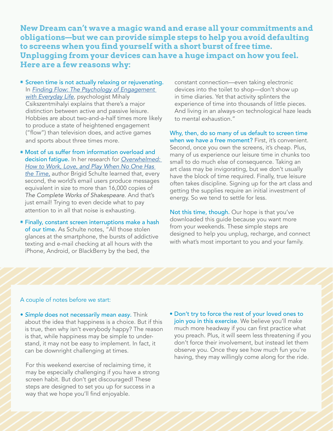**New Dream can't wave a magic wand and erase all your commitments and obligations—but we can provide simple steps to help you avoid defaulting to screens when you find yourself with a short burst of free time. Unplugging from your devices can have a huge impact on how you feel. Here are a few reasons why:**

- Screen time is not actually relaxing or rejuvenating. In *[Finding Flow: The Psychology of Engagement](https://www.indiebound.org/book/9780465024117)  [with Everyday Life](https://www.indiebound.org/book/9780465024117)*, psychologist Mihaly Csikszentmihalyi explains that there's a major distinction between active and passive leisure. Hobbies are about two-and-a-half times more likely to produce a state of heightened engagement ("flow") than television does, and active games and sports about three times more.
- ◉ Most of us suffer from information overload and decision fatigue. In her research for *[Overwhelmed:](https://www.indiebound.org/book/9781250062383)  [How to Work, Love, and Play When No One Has](https://www.indiebound.org/book/9781250062383)  [the Time](https://www.indiebound.org/book/9781250062383)*, author Brigid Schulte learned that, every second, the world's email users produce messages equivalent in size to more than 16,000 copies of *The Complete Works of Shakespeare*. And that's just email! Trying to even decide what to pay attention to in all that noise is exhausting.
- ◉ Finally, constant screen interruptions make a hash of our time. As Schulte notes, "All those stolen glances at the smartphone, the bursts of addictive texting and e-mail checking at all hours with the iPhone, Android, or BlackBerry by the bed, the

constant connection—even taking electronic devices into the toilet to shop—don't show up in time diaries. Yet that activity splinters the experience of time into thousands of little pieces. And living in an always-on technological haze leads to mental exhaustion."

Why, then, do so many of us default to screen time when we have a free moment? First, it's convenient. Second, once you own the screens, it's cheap. Plus, many of us experience our leisure time in chunks too small to do much else of consequence. Taking an art class may be invigorating, but we don't usually have the block of time required. Finally, true leisure often takes discipline. Signing up for the art class and getting the supplies require an initial investment of energy. So we tend to settle for less.

Not this time, though. Our hope is that you've downloaded this guide because you want more from your weekends. These simple steps are designed to help you unplug, recharge, and connect with what's most important to you and your family.

#### A couple of notes before we start:

• *Simple* does not necessarily mean *easy*. Think about the idea that happiness is a choice. But if this is true, then why isn't everybody happy? The reason is that, while happiness may be simple to understand, it may not be easy to implement. In fact, it can be downright challenging at times.

For this weekend exercise of reclaiming time, it may be especially challenging if you have a strong screen habit. But don't get discouraged! These steps are designed to set you up for success in a way that we hope you'll find enjoyable.

• Don't try to force the rest of your loved ones to join you in this exercise. We believe you'll make much more headway if you can first practice what you preach. Plus, it will seem less threatening if you don't force their involvement, but instead let them observe you. Once they see how much fun you're having, they may willingly come along for the ride.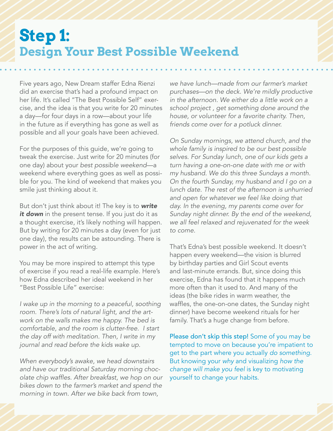## **Step 1: Design Your Best Possible Weekend**

Five years ago, New Dream staffer Edna Rienzi did an exercise that's had a profound impact on her life. It's called "The Best Possible Self" exercise, and the idea is that you write for 20 minutes a day—for four days in a row—about your life in the future as if everything has gone as well as possible and all your goals have been achieved.

For the purposes of this guide, we're going to tweak the exercise. Just write for 20 minutes (for one day) about your *best possible weekend*—a weekend where everything goes as well as possible for you. The kind of weekend that makes you smile just thinking about it.

But don't just think about it! The key is to *write*  it **down** in the present tense. If you just do it as a thought exercise, it's likely nothing will happen. But by writing for 20 minutes a day (even for just one day), the results can be astounding. There is power in the act of writing.

You may be more inspired to attempt this type of exercise if you read a real-life example. Here's how Edna described her ideal weekend in her "Best Possible Life" exercise:

*I wake up in the morning to a peaceful, soothing room. There's lots of natural light, and the artwork on the walls makes me happy. The bed is comfortable, and the room is clutter-free. I start the day off with meditation. Then, I write in my journal and read before the kids wake up.* 

*When everybody's awake, we head downstairs and have our traditional Saturday morning choc*olate chip waffles. After breakfast, we hop on our *bikes down to the farmer's market and spend the*  morning in town. After we bike back from town,

*we have lunch—made from our farmer's market purchases—on the deck. We're mildly productive in the afternoon. We either do a little work on a school project , get something done around the house, or volunteer for a favorite charity. Then, friends come over for a potluck dinner.* 

*On Sunday mornings, we attend church, and the whole family is inspired to be our best possible selves. For Sunday lunch, one of our kids gets a turn having a one-on-one date with me or with my husband. We do this three Sundays a month. On the fourth Sunday, my husband and I go on a lunch date. The rest of the afternoon is unhurried and open for whatever we feel like doing that day. In the evening, my parents come over for Sunday night dinner. By the end of the weekend, we all feel relaxed and rejuvenated for the week to come.*

That's Edna's best possible weekend. It doesn't happen every weekend—the vision is blurred by birthday parties and Girl Scout events and last-minute errands. But, since doing this exercise, Edna has found that it happens much more often than it used to. And many of the ideas (the bike rides in warm weather, the waffles, the one-on-one dates, the Sunday night dinner) have become weekend rituals for her family. That's a huge change from before.

Please don't skip this step! Some of you may be tempted to move on because you're impatient to get to the part where you actually *do something*. But knowing your *why* and visualizing *how the change will make you feel* is key to motivating yourself to change your habits.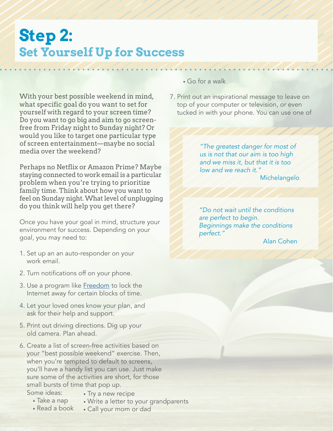## **Step 2: Set Yourself Up for Success**

With your best possible weekend in mind, what specific goal do you want to set for yourself with regard to your screen time? Do you want to go big and aim to go screenfree from Friday night to Sunday night? Or would you like to target one particular type of screen entertainment—maybe no social media over the weekend?

Perhaps no Netflix or Amazon Prime? Maybe staying connected to work email is a particular problem when you're trying to prioritize family time. Think about how you want to feel on Sunday night. What level of unplugging do you think will help you get there?

Once you have your goal in mind, structure your environment for success. Depending on your goal, you may need to:

- 1. Set up an an auto-responder on your work email.
- 2. Turn notifications off on your phone.
- 3. Use a program like [Freedom](https://freedom.to/) to lock the Internet away for certain blocks of time.
- 4. Let your loved ones know your plan, and ask for their help and support.
- 5. Print out driving directions. Dig up your old camera. Plan ahead.
- 6. Create a list of screen-free activities based on your "best possible weekend" exercise. Then, when you're tempted to default to screens, you'll have a handy list you can use. Just make sure some of the activities are short, for those small bursts of time that pop up.
	- Some ideas:
- Try a new recipe

• Call your mom or dad

- Write a letter to your grandparents
- Take a nap • Read a book
- Go for a walk
- 7. Print out an inspirational message to leave on top of your computer or television, or even tucked in with your phone. You can use one of

*"The greatest danger for most of us is not that our aim is too high and we miss it, but that it is too low and we reach it."* Michelangelo

*"Do not wait until the conditions are perfect to begin. Beginnings make the conditions perfect."*

Alan Cohen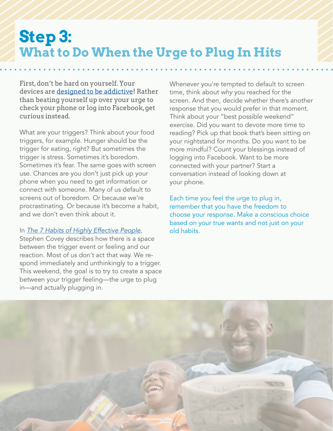## **Step 3: What to Do When the Urge to Plug In Hits**

First, don't be hard on yourself. Your devices are [designed to be addictive!](http://www.nytimes.com/2015/12/06/technology/personaltech/cant-put-down-your-device-thats-by-design.html?_r=0 ) Rather than beating yourself up over your urge to check your phone or log into Facebook, get curious instead.

What are your triggers? Think about your food triggers, for example. Hunger should be the trigger for eating, right? But sometimes the trigger is stress. Sometimes it's boredom. Sometimes it's fear. The same goes with screen use. Chances are you don't just pick up your phone when you need to get information or connect with someone. Many of us default to screens out of boredom. Or because we're procrastinating. Or because it's become a habit, and we don't even think about it.

#### In *[The 7 Habits of Highly Effective People](https://www.indiebound.org/book/9781451639612)*,

Stephen Covey describes how there is a space between the trigger event or feeling and our reaction. Most of us don't act that way. We respond immediately and unthinkingly to a trigger. This weekend, the goal is to try to create a space between your trigger feeling—the urge to plug in—and actually plugging in.

Whenever you're tempted to default to screen time, think about *why* you reached for the screen. And then, decide whether there's another response that you would prefer in that moment. Think about your "best possible weekend" exercise. Did you want to devote more time to reading? Pick up that book that's been sitting on your nightstand for months. Do you want to be more mindful? Count your blessings instead of logging into Facebook. Want to be more connected with your partner? Start a conversation instead of looking down at your phone.

Each time you feel the urge to plug in, remember that you have the freedom to choose your response. Make a conscious choice based on your true wants and not just on your old habits.

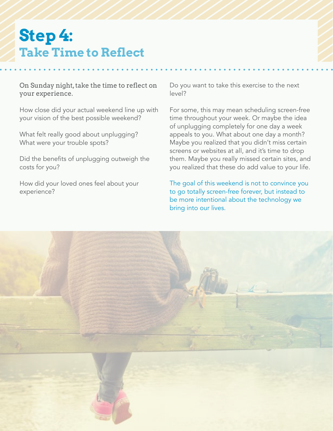# **Step 4: Take Time to Reflect**

On Sunday night, take the time to reflect on your experience.

How close did your actual weekend line up with your vision of the best possible weekend?

What felt really good about unplugging? What were your trouble spots?

Did the benefits of unplugging outweigh the costs for you?

How did your loved ones feel about your experience?

Do you want to take this exercise to the next level?

For some, this may mean scheduling screen-free time throughout your week. Or maybe the idea of unplugging completely for one day a week appeals to you. What about one day a month? Maybe you realized that you didn't miss certain screens or websites at all, and it's time to drop them. Maybe you really missed certain sites, and you realized that these do add value to your life.

The goal of this weekend is not to convince you to go totally screen-free forever, but instead to be more intentional about the technology we bring into our lives.

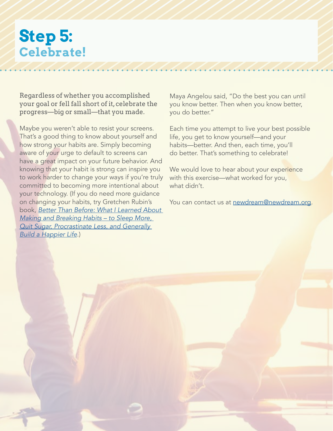# **Step 5: Celebrate!**

Regardless of whether you accomplished your goal or fell fall short of it, celebrate the progress—big or small—that you made.

Maybe you weren't able to resist your screens. That's a good thing to know about yourself and how strong your habits are. Simply becoming aware of your urge to default to screens can have a great impact on your future behavior. And knowing that your habit is strong can inspire you to work harder to change your ways if you're truly committed to becoming more intentional about your technology. (If you do need more guidance on changing your habits, try Gretchen Rubin's book, [Better Than Before: What I Learned About](https://www.indiebound.org/book/9780385348638)  *[Making and Breaking Habits – to Sleep More,](https://www.indiebound.org/book/9780385348638)  [Quit Sugar, Procrastinate Less, and Generally](https://www.indiebound.org/book/9780385348638)  [Build a Happier Life](https://www.indiebound.org/book/9780385348638)*.)

Maya Angelou said, "Do the best you can until you know better. Then when you know better, you do better."

Each time you attempt to live your best possible life, you get to know yourself—and your habits—better. And then, each time, you'll do better. That's something to celebrate!

We would love to hear about your experience with this exercise—what worked for you, what didn't.

You can contact us at [newdream@newdream.org](mailto:newdream%40newdream.org?subject=).